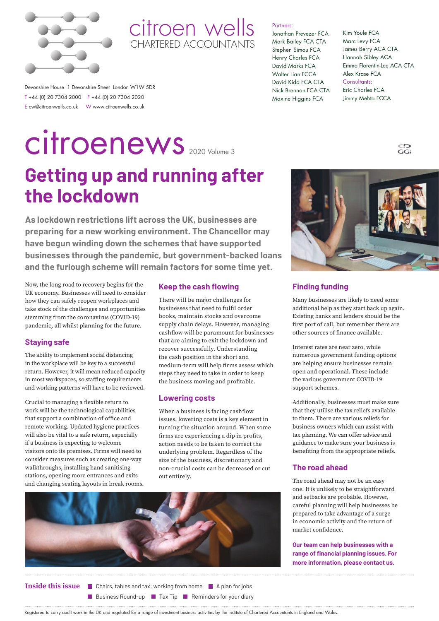

# citroen wells CHARTERED ACCOUNTANTS

### Partners:

Jonathan Prevezer FCA Mark Bailey FCA CTA Stephen Simou FCA Henry Charles FCA David Marks FCA Walter Lian FCCA David Kidd FCA CTA Nick Brennan FCA CTA Maxine Higgins FCA

### Kim Youle FCA Marc Levy FCA James Berry ACA CTA Hannah Sibley ACA Emma Florentin-Lee ACA CTA Alex Krase FCA Consultants: Eric Charles FCA Jimmy Mehta FCCA

 $\overline{G}$ 

Devonshire House 1 Devonshire Street London W1W 5DR T +44 (0) 20 7304 2000 F +44 (0) 20 7304 2020 E cw@citroenwells.co.uk W www.citroenwells.co.uk

# **Getting up and running after**  citroenews 2020 Volume 3

**As lockdown restrictions lift across the UK, businesses are preparing for a new working environment. The Chancellor may have begun winding down the schemes that have supported businesses through the pandemic, but government-backed loans and the furlough scheme will remain factors for some time yet.**

Now, the long road to recovery begins for the UK economy. Businesses will need to consider how they can safely reopen workplaces and take stock of the challenges and opportunities stemming from the coronavirus (COVID-19) pandemic, all whilst planning for the future.

**the lockdown**

# **Staying safe**

The ability to implement social distancing in the workplace will be key to a successful return. However, it will mean reduced capacity in most workspaces, so staffing requirements and working patterns will have to be reviewed.

Crucial to managing a flexible return to work will be the technological capabilities that support a combination of office and remote working. Updated hygiene practices will also be vital to a safe return, especially if a business is expecting to welcome visitors onto its premises. Firms will need to consider measures such as creating one-way walkthroughs, installing hand sanitising stations, opening more entrances and exits and changing seating layouts in break rooms.

# **Keep the cash flowing**

There will be major challenges for businesses that need to fulfil order books, maintain stocks and overcome supply chain delays. However, managing cashflow will be paramount for businesses that are aiming to exit the lockdown and recover successfully. Understanding the cash position in the short and medium-term will help firms assess which steps they need to take in order to keep the business moving and profitable.

# **Lowering costs**

When a business is facing cashflow issues, lowering costs is a key element in turning the situation around. When some firms are experiencing a dip in profits, action needs to be taken to correct the underlying problem. Regardless of the size of the business, discretionary and non-crucial costs can be decreased or cut out entirely.



**Inside this issue E** Chairs, tables and tax: working from home **A** plan for jobs

**E** Business Round-up **E** Tax Tip **Reminders for your diary** 



# **Finding funding**

Many businesses are likely to need some additional help as they start back up again. Existing banks and lenders should be the first port of call, but remember there are other sources of finance available.

Interest rates are near zero, while numerous government funding options are helping ensure businesses remain open and operational. These include the various government COVID-19 support schemes.

Additionally, businesses must make sure that they utilise the tax reliefs available to them. There are various reliefs for business owners which can assist with tax planning. We can offer advice and guidance to make sure your business is benefiting from the appropriate reliefs.

# **The road ahead**

The road ahead may not be an easy one. It is unlikely to be straightforward and setbacks are probable. However, careful planning will help businesses be prepared to take advantage of a surge in economic activity and the return of market confidence.

**Our team can help businesses with a range of financial planning issues. For more information, please contact us.**

Registered to carry audit work in the UK and regulated for a range of investment business activities by the Institute of Chartered Accountants in England and Wales.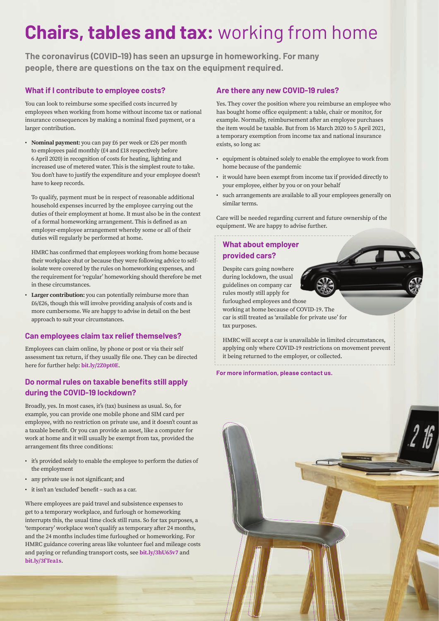# **Chairs, tables and tax:** working from home

**The coronavirus (COVID-19) has seen an upsurge in homeworking. For many people, there are questions on the tax on the equipment required.**

# **What if I contribute to employee costs?**

You can look to reimburse some specified costs incurred by employees when working from home without income tax or national insurance consequences by making a nominal fixed payment, or a larger contribution.

• **Nominal payment:** you can pay £6 per week or £26 per month to employees paid monthly (£4 and £18 respectively before 6 April 2020) in recognition of costs for heating, lighting and increased use of metered water. This is the simplest route to take. You don't have to justify the expenditure and your employee doesn't have to keep records.

To qualify, payment must be in respect of reasonable additional household expenses incurred by the employee carrying out the duties of their employment at home. It must also be in the context of a formal homeworking arrangement. This is defined as an employer-employee arrangement whereby some or all of their duties will regularly be performed at home.

HMRC has confirmed that employees working from home because their workplace shut or because they were following advice to selfisolate were covered by the rules on homeworking expenses, and the requirement for 'regular' homeworking should therefore be met in these circumstances.

• **Larger contribution:** you can potentially reimburse more than £6/£26, though this will involve providing analysis of costs and is more cumbersome. We are happy to advise in detail on the best approach to suit your circumstances.

# **Can employees claim tax relief themselves?**

Employees can claim online, by phone or post or via their self assessment tax return, if they usually file one. They can be directed here for further help: **[bit.ly/2Z0pt0E](https://bit.ly/2Z0pt0E)**.

# **Do normal rules on taxable benefits still apply during the COVID-19 lockdown?**

Broadly, yes. In most cases, it's (tax) business as usual. So, for example, you can provide one mobile phone and SIM card per employee, with no restriction on private use, and it doesn't count as a taxable benefit. Or you can provide an asset, like a computer for work at home and it will usually be exempt from tax, provided the arrangement fits three conditions:

- it's provided solely to enable the employee to perform the duties of the employment
- any private use is not significant; and
- it isn't an 'excluded' benefit such as a car.

Where employees are paid travel and subsistence expenses to get to a temporary workplace, and furlough or homeworking interrupts this, the usual time clock still runs. So for tax purposes, a 'temporary' workplace won't qualify as temporary after 24 months, and the 24 months includes time furloughed or homeworking. For HMRC guidance covering areas like volunteer fuel and mileage costs and paying or refunding transport costs, see **[bit.ly/3hU65v7](https://bit.ly/3hU65v7)** and **[bit.ly/3fTea1s](https://bit.ly/3fTea1s)**.

# **Are there any new COVID-19 rules?**

Yes. They cover the position where you reimburse an employee who has bought home office equipment: a table, chair or monitor, for example. Normally, reimbursement after an employee purchases the item would be taxable. But from 16 March 2020 to 5 April 2021, a temporary exemption from income tax and national insurance exists, so long as:

- equipment is obtained solely to enable the employee to work from home because of the pandemic
- it would have been exempt from income tax if provided directly to your employee, either by you or on your behalf
- such arrangements are available to all your employees generally on similar terms.

Care will be needed regarding current and future ownership of the equipment. We are happy to advise further.

# **What about employer provided cars?**

Despite cars going nowhere during lockdown, the usual guidelines on company car rules mostly still apply for

furloughed employees and those working at home because of COVID-19. The

car is still treated as 'available for private use' for tax purposes.

HMRC will accept a car is unavailable in limited circumstances, applying only where COVID-19 restrictions on movement prevent it being returned to the employer, or collected.

**For more information, please contact us.** 

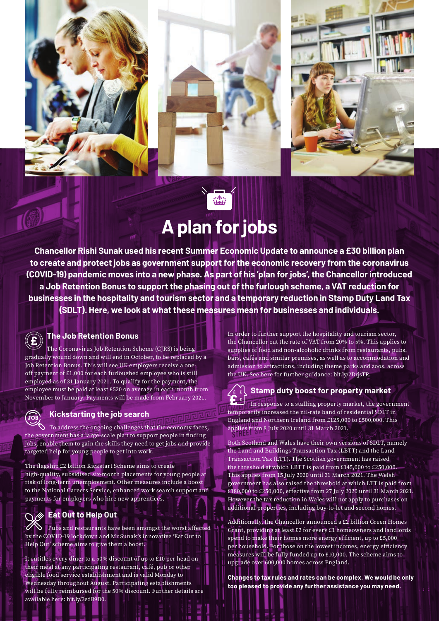





# **A plan for jobs**

**Chancellor Rishi Sunak used his recent Summer Economic Update to announce a £30 billion plan to create and protect jobs as government support for the economic recovery from the coronavirus (COVID-19) pandemic moves into a new phase. As part of his 'plan for jobs', the Chancellor introduced a Job Retention Bonus to support the phasing out of the furlough scheme, a VAT reduction for businesses in the hospitality and tourism sector and a temporary reduction in Stamp Duty Land Tax (SDLT). Here, we look at what these measures mean for businesses and individuals.** 

# **The Job Retention Bonus**

The Coronavirus Job Retention Scheme (CJRS) is being gradually wound down and will end in October, to be replaced by a Job Retention Bonus. This will see UK employers receive a oneoff payment of £1,000 for each furloughed employee who is still employed as of 31 January 2021. To qualify for the payment, the employee must be paid at least £520 on average in each month from November to January. Payments will be made from February 2021.

# **Kickstarting the job search**

 $\lozenge$  To address the ongoing challenges that the economy faces, the government has a large-scale plan to support people in finding jobs, enable them to gain the skills they need to get jobs and provide targeted help for young people to get into work.

The flagship £2 billion Kickstart Scheme aims to create high-quality, subsidised six-month placements for young people at risk of long-term unemployment. Other measures include a boost to the National Careers Service, enhanced work search support and payments for employers who hire new apprentices.

# **Eat Out to Help Out**

ြင

S Pubs and restaurants have been amongst the worst affected by the COVID-19 lockdown and Mr Sunak's innovative 'Eat Out to Help Out' scheme aims to give them a boost.

It entitles every diner to a 50% discount of up to £10 per head on their meal at any participating restaurant, café, pub or other eligible food service establishment and is valid Monday to Wednesday throughout August. Participating establishments will be fully reimbursed for the 50% discount. Further details are available here: [bit.ly/3edB9D0](https://bit.ly/3edB9D0).

In order to further support the hospitality and tourism sector, the Chancellor cut the rate of VAT from 20% to 5%. This applies to supplies of food and non-alcoholic drinks from restaurants, pubs, bars, cafés and similar premises, as well as to accommodation and admission to attractions, including theme parks and zoos, across the UK. See here for further guidance: [bit.ly/2DrjsTR.](https://bit.ly/2DrjsTR)

# $\mathbf{F}$   $\epsilon$   $|$

# **Stamp duty boost for property market**

In response to a stalling property market, the government temporarily increased the nil-rate band of residential SDLT in England and Northern Ireland from £125,000 to £500,000. This applies from 8 July 2020 until 31 March 2021.

Both Scotland and Wales have their own versions of SDLT, namely the Land and Buildings Transaction Tax (LBTT) and the Land Transaction Tax (LTT). The Scottish government has raised the threshold at which LBTT is paid from £145,000 to £250,000. This applies from 15 July 2020 until 31 March 2021. The Welsh government has also raised the threshold at which LTT is paid from £180,000 to £250,000, effective from 27 July 2020 until 31 March 2021. However the tax reduction in Wales will not apply to purchases on additional properties, including buy-to-let and second homes.

Additionally, the Chancellor announced a £2 billion Green Homes Grant, providing at least £2 for every £1 homeowners and landlords spend to make their homes more energy efficient, up to £5,000 per household. For those on the lowest incomes, energy efficiency measures will be fully funded up to £10,000. The scheme aims to upgrade over 600,000 homes across England.

**Changes to tax rules and rates can be complex. We would be only too pleased to provide any further assistance you may need.**